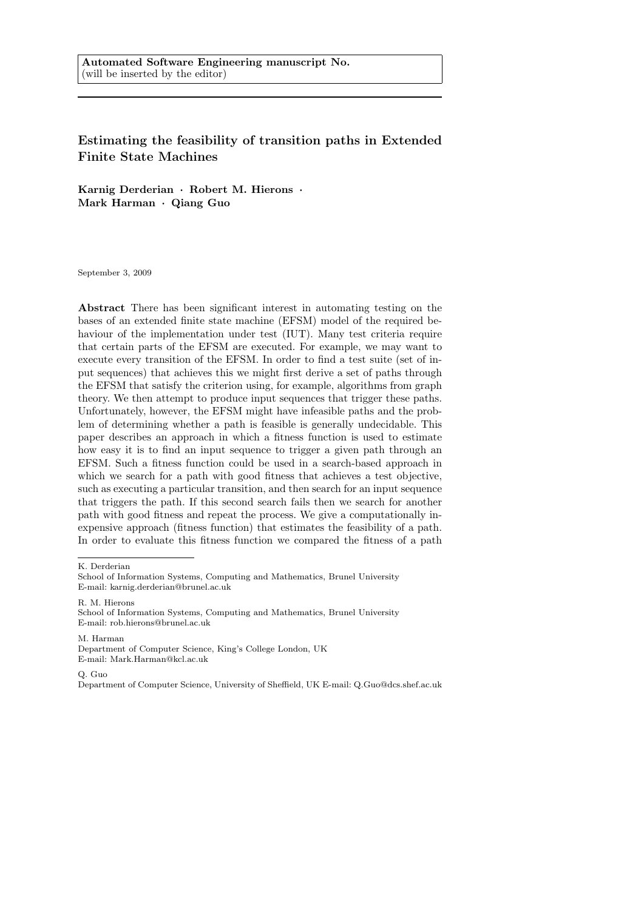# Estimating the feasibility of transition paths in Extended Finite State Machines

Karnig Derderian · Robert M. Hierons · Mark Harman · Qiang Guo

September 3, 2009

Abstract There has been significant interest in automating testing on the bases of an extended finite state machine (EFSM) model of the required behaviour of the implementation under test (IUT). Many test criteria require that certain parts of the EFSM are executed. For example, we may want to execute every transition of the EFSM. In order to find a test suite (set of input sequences) that achieves this we might first derive a set of paths through the EFSM that satisfy the criterion using, for example, algorithms from graph theory. We then attempt to produce input sequences that trigger these paths. Unfortunately, however, the EFSM might have infeasible paths and the problem of determining whether a path is feasible is generally undecidable. This paper describes an approach in which a fitness function is used to estimate how easy it is to find an input sequence to trigger a given path through an EFSM. Such a fitness function could be used in a search-based approach in which we search for a path with good fitness that achieves a test objective, such as executing a particular transition, and then search for an input sequence that triggers the path. If this second search fails then we search for another path with good fitness and repeat the process. We give a computationally inexpensive approach (fitness function) that estimates the feasibility of a path. In order to evaluate this fitness function we compared the fitness of a path

K. Derderian

R. M. Hierons

M. Harman

E-mail: Mark.Harman@kcl.ac.uk

Q. Guo

Department of Computer Science, University of Sheffield, UK E-mail: Q.Guo@dcs.shef.ac.uk

School of Information Systems, Computing and Mathematics, Brunel University E-mail: karnig.derderian@brunel.ac.uk

School of Information Systems, Computing and Mathematics, Brunel University E-mail: rob.hierons@brunel.ac.uk

Department of Computer Science, King's College London, UK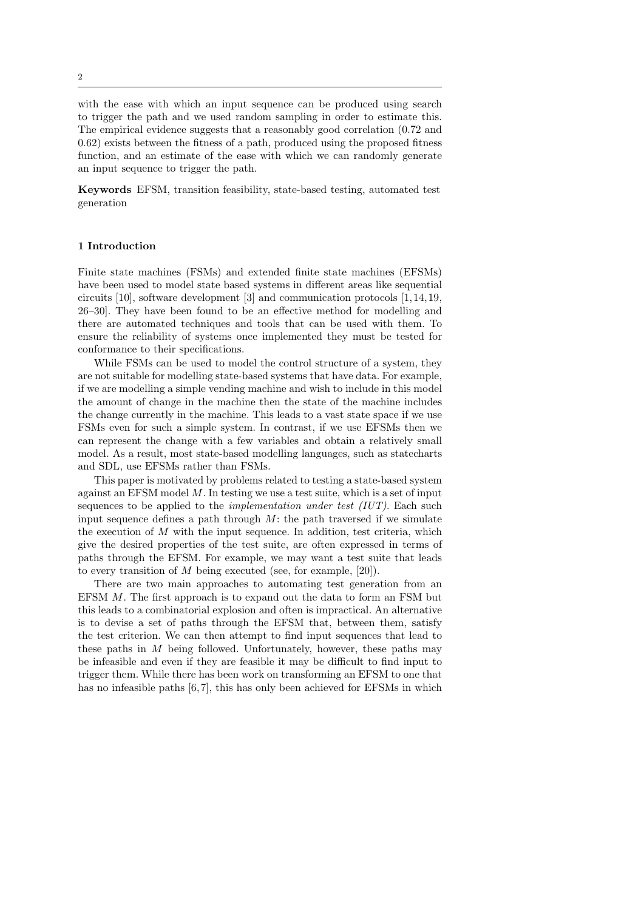with the ease with which an input sequence can be produced using search to trigger the path and we used random sampling in order to estimate this. The empirical evidence suggests that a reasonably good correlation (0.72 and 0.62) exists between the fitness of a path, produced using the proposed fitness function, and an estimate of the ease with which we can randomly generate an input sequence to trigger the path.

Keywords EFSM, transition feasibility, state-based testing, automated test generation

# 1 Introduction

Finite state machines (FSMs) and extended finite state machines (EFSMs) have been used to model state based systems in different areas like sequential circuits [10], software development [3] and communication protocols [1, 14, 19, 26–30]. They have been found to be an effective method for modelling and there are automated techniques and tools that can be used with them. To ensure the reliability of systems once implemented they must be tested for conformance to their specifications.

While FSMs can be used to model the control structure of a system, they are not suitable for modelling state-based systems that have data. For example, if we are modelling a simple vending machine and wish to include in this model the amount of change in the machine then the state of the machine includes the change currently in the machine. This leads to a vast state space if we use FSMs even for such a simple system. In contrast, if we use EFSMs then we can represent the change with a few variables and obtain a relatively small model. As a result, most state-based modelling languages, such as statecharts and SDL, use EFSMs rather than FSMs.

This paper is motivated by problems related to testing a state-based system against an EFSM model  $M$ . In testing we use a test suite, which is a set of input sequences to be applied to the *implementation under test (IUT)*. Each such input sequence defines a path through  $M$ : the path traversed if we simulate the execution of  $M$  with the input sequence. In addition, test criteria, which give the desired properties of the test suite, are often expressed in terms of paths through the EFSM. For example, we may want a test suite that leads to every transition of M being executed (see, for example, [20]).

There are two main approaches to automating test generation from an EFSM M. The first approach is to expand out the data to form an FSM but this leads to a combinatorial explosion and often is impractical. An alternative is to devise a set of paths through the EFSM that, between them, satisfy the test criterion. We can then attempt to find input sequences that lead to these paths in M being followed. Unfortunately, however, these paths may be infeasible and even if they are feasible it may be difficult to find input to trigger them. While there has been work on transforming an EFSM to one that has no infeasible paths  $[6, 7]$ , this has only been achieved for EFSMs in which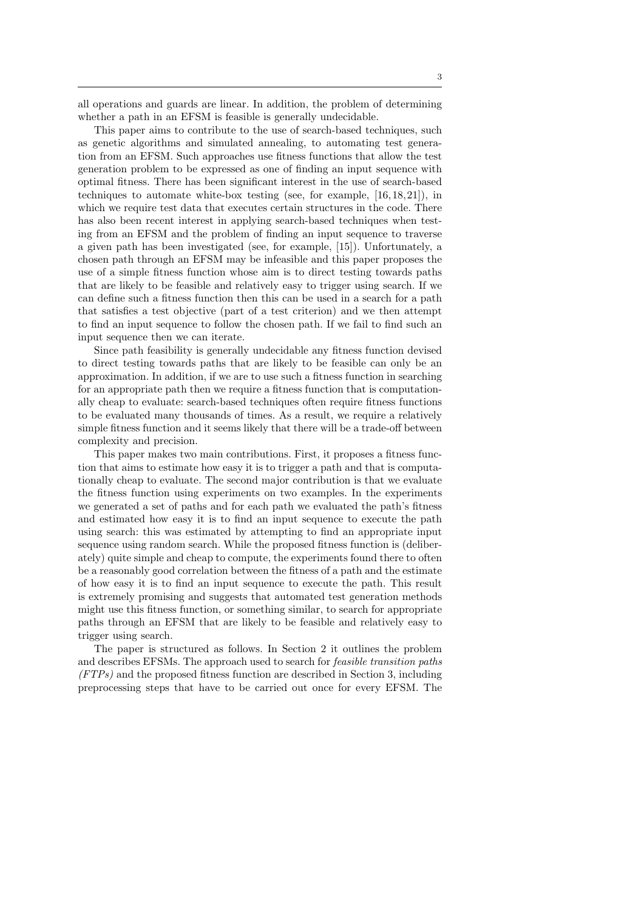all operations and guards are linear. In addition, the problem of determining whether a path in an EFSM is feasible is generally undecidable.

This paper aims to contribute to the use of search-based techniques, such as genetic algorithms and simulated annealing, to automating test generation from an EFSM. Such approaches use fitness functions that allow the test generation problem to be expressed as one of finding an input sequence with optimal fitness. There has been significant interest in the use of search-based techniques to automate white-box testing (see, for example, [16,18, 21]), in which we require test data that executes certain structures in the code. There has also been recent interest in applying search-based techniques when testing from an EFSM and the problem of finding an input sequence to traverse a given path has been investigated (see, for example, [15]). Unfortunately, a chosen path through an EFSM may be infeasible and this paper proposes the use of a simple fitness function whose aim is to direct testing towards paths that are likely to be feasible and relatively easy to trigger using search. If we can define such a fitness function then this can be used in a search for a path that satisfies a test objective (part of a test criterion) and we then attempt to find an input sequence to follow the chosen path. If we fail to find such an input sequence then we can iterate.

Since path feasibility is generally undecidable any fitness function devised to direct testing towards paths that are likely to be feasible can only be an approximation. In addition, if we are to use such a fitness function in searching for an appropriate path then we require a fitness function that is computationally cheap to evaluate: search-based techniques often require fitness functions to be evaluated many thousands of times. As a result, we require a relatively simple fitness function and it seems likely that there will be a trade-off between complexity and precision.

This paper makes two main contributions. First, it proposes a fitness function that aims to estimate how easy it is to trigger a path and that is computationally cheap to evaluate. The second major contribution is that we evaluate the fitness function using experiments on two examples. In the experiments we generated a set of paths and for each path we evaluated the path's fitness and estimated how easy it is to find an input sequence to execute the path using search: this was estimated by attempting to find an appropriate input sequence using random search. While the proposed fitness function is (deliberately) quite simple and cheap to compute, the experiments found there to often be a reasonably good correlation between the fitness of a path and the estimate of how easy it is to find an input sequence to execute the path. This result is extremely promising and suggests that automated test generation methods might use this fitness function, or something similar, to search for appropriate paths through an EFSM that are likely to be feasible and relatively easy to trigger using search.

The paper is structured as follows. In Section 2 it outlines the problem and describes EFSMs. The approach used to search for feasible transition paths (FTPs) and the proposed fitness function are described in Section 3, including preprocessing steps that have to be carried out once for every EFSM. The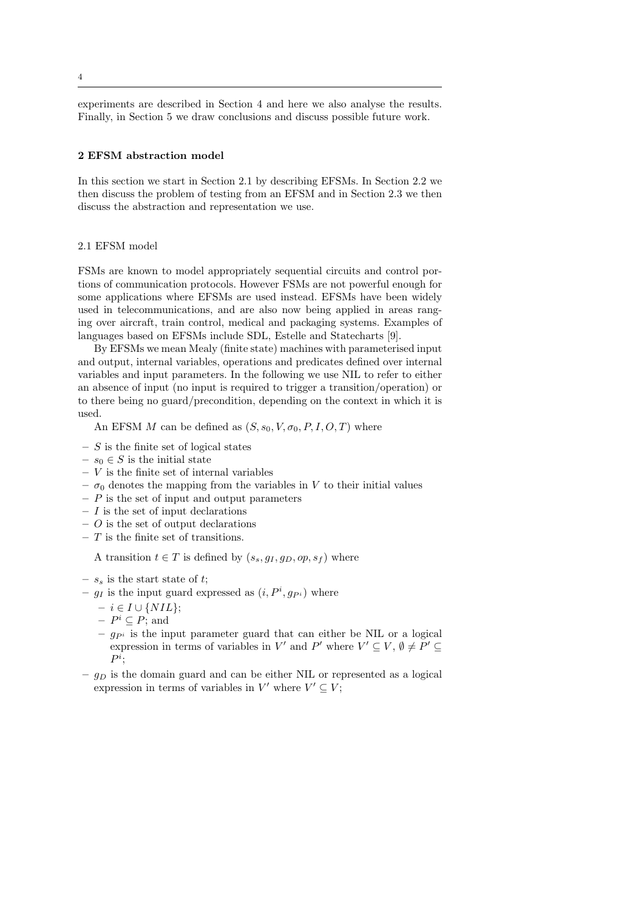experiments are described in Section 4 and here we also analyse the results. Finally, in Section 5 we draw conclusions and discuss possible future work.

# 2 EFSM abstraction model

In this section we start in Section 2.1 by describing EFSMs. In Section 2.2 we then discuss the problem of testing from an EFSM and in Section 2.3 we then discuss the abstraction and representation we use.

# 2.1 EFSM model

FSMs are known to model appropriately sequential circuits and control portions of communication protocols. However FSMs are not powerful enough for some applications where EFSMs are used instead. EFSMs have been widely used in telecommunications, and are also now being applied in areas ranging over aircraft, train control, medical and packaging systems. Examples of languages based on EFSMs include SDL, Estelle and Statecharts [9].

By EFSMs we mean Mealy (finite state) machines with parameterised input and output, internal variables, operations and predicates defined over internal variables and input parameters. In the following we use NIL to refer to either an absence of input (no input is required to trigger a transition/operation) or to there being no guard/precondition, depending on the context in which it is used.

An EFSM M can be defined as  $(S, s_0, V, \sigma_0, P, I, O, T)$  where

- $S$  is the finite set of logical states
- $s_0 \in S$  is the initial state
- $-$  V is the finite set of internal variables
- $-\sigma_0$  denotes the mapping from the variables in V to their initial values
- $P$  is the set of input and output parameters
- $I$  is the set of input declarations
- $-$  O is the set of output declarations
- $T$  is the finite set of transitions.

A transition  $t \in T$  is defined by  $(s_s, q_I, q_D, op, s_f)$  where

- $s_s$  is the start state of t;
- $-g_I$  is the input guard expressed as  $(i, P^i, g_{P^i})$  where
	- $i \in I \cup \{NIL\};$
	- $-P^i \subseteq P$ ; and
	- $q_{P_i}$  is the input parameter guard that can either be NIL or a logical expression in terms of variables in V' and P' where  $V' \subseteq V$ ,  $\emptyset \neq P' \subseteq$  $P^i;$
- $q_D$  is the domain guard and can be either NIL or represented as a logical expression in terms of variables in  $V'$  where  $V' \subseteq V$ ;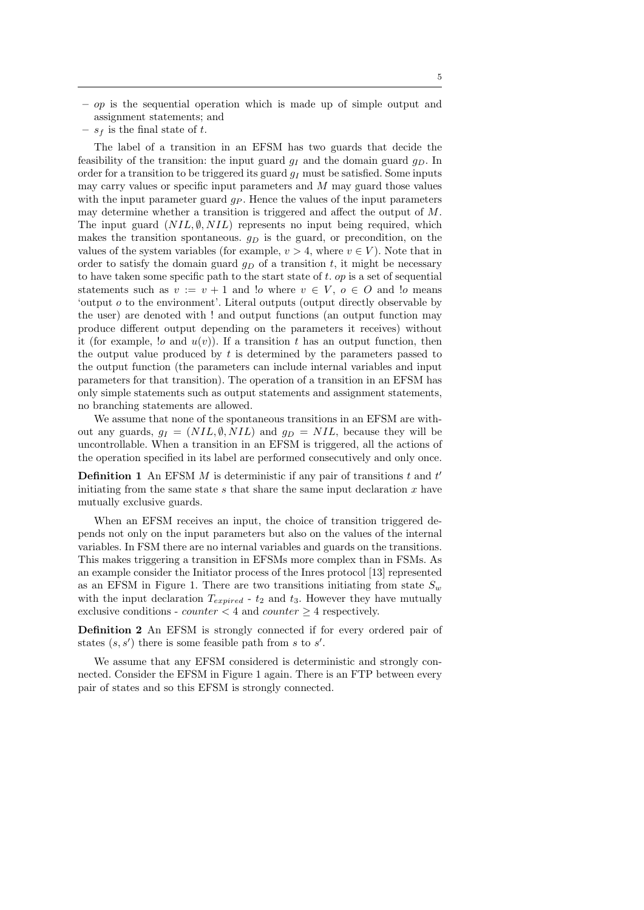- $op$  is the sequential operation which is made up of simple output and assignment statements; and
- $s_f$  is the final state of t.

The label of a transition in an EFSM has two guards that decide the feasibility of the transition: the input guard  $q_I$  and the domain guard  $q_D$ . In order for a transition to be triggered its guard  $g_I$  must be satisfied. Some inputs may carry values or specific input parameters and M may guard those values with the input parameter guard  $q_P$ . Hence the values of the input parameters may determine whether a transition is triggered and affect the output of M. The input guard  $(NIL, \emptyset, NIL)$  represents no input being required, which makes the transition spontaneous.  $g_D$  is the guard, or precondition, on the values of the system variables (for example,  $v > 4$ , where  $v \in V$ ). Note that in order to satisfy the domain guard  $q_D$  of a transition t, it might be necessary to have taken some specific path to the start state of  $t$ . op is a set of sequential statements such as  $v := v + 1$  and !o where  $v \in V$ ,  $o \in O$  and !o means 'output  $\sigma$  to the environment'. Literal outputs (output directly observable by the user) are denoted with ! and output functions (an output function may produce different output depending on the parameters it receives) without it (for example,  $[0, \text{and } u(v)]$ ). If a transition t has an output function, then the output value produced by  $t$  is determined by the parameters passed to the output function (the parameters can include internal variables and input parameters for that transition). The operation of a transition in an EFSM has only simple statements such as output statements and assignment statements, no branching statements are allowed.

We assume that none of the spontaneous transitions in an EFSM are without any guards,  $q_I = (NIL, \emptyset, NIL)$  and  $q_D = NIL$ , because they will be uncontrollable. When a transition in an EFSM is triggered, all the actions of the operation specified in its label are performed consecutively and only once.

**Definition 1** An EFSM  $M$  is deterministic if any pair of transitions  $t$  and  $t'$ initiating from the same state  $s$  that share the same input declaration  $x$  have mutually exclusive guards.

When an EFSM receives an input, the choice of transition triggered depends not only on the input parameters but also on the values of the internal variables. In FSM there are no internal variables and guards on the transitions. This makes triggering a transition in EFSMs more complex than in FSMs. As an example consider the Initiator process of the Inres protocol [13] represented as an EFSM in Figure 1. There are two transitions initiating from state  $S_w$ with the input declaration  $T_{\text{expired}}$  -  $t_2$  and  $t_3$ . However they have mutually exclusive conditions - *counter*  $\lt$  4 and *counter*  $\geq$  4 respectively.

Definition 2 An EFSM is strongly connected if for every ordered pair of states  $(s, s')$  there is some feasible path from s to s'.

We assume that any EFSM considered is deterministic and strongly connected. Consider the EFSM in Figure 1 again. There is an FTP between every pair of states and so this EFSM is strongly connected.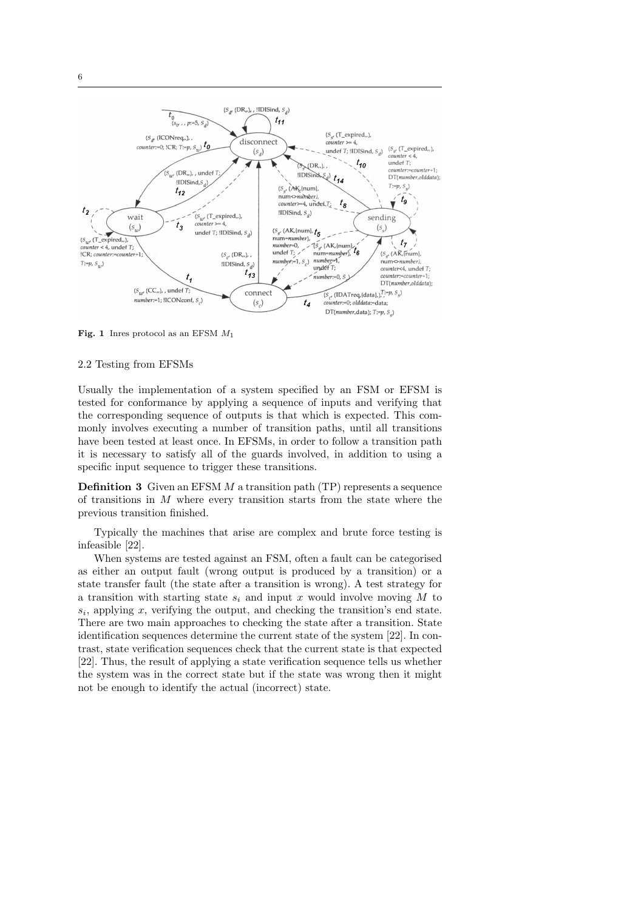

Fig. 1 Inres protocol as an EFSM  $M_1$ 

## 2.2 Testing from EFSMs

Usually the implementation of a system specified by an FSM or EFSM is tested for conformance by applying a sequence of inputs and verifying that the corresponding sequence of outputs is that which is expected. This commonly involves executing a number of transition paths, until all transitions have been tested at least once. In EFSMs, in order to follow a transition path it is necessary to satisfy all of the guards involved, in addition to using a specific input sequence to trigger these transitions.

**Definition 3** Given an EFSM  $M$  a transition path (TP) represents a sequence of transitions in  $M$  where every transition starts from the state where the previous transition finished.

Typically the machines that arise are complex and brute force testing is infeasible [22].

When systems are tested against an FSM, often a fault can be categorised as either an output fault (wrong output is produced by a transition) or a state transfer fault (the state after a transition is wrong). A test strategy for a transition with starting state  $s_i$  and input x would involve moving M to  $s_i$ , applying x, verifying the output, and checking the transition's end state. There are two main approaches to checking the state after a transition. State identification sequences determine the current state of the system [22]. In contrast, state verification sequences check that the current state is that expected [22]. Thus, the result of applying a state verification sequence tells us whether the system was in the correct state but if the state was wrong then it might not be enough to identify the actual (incorrect) state.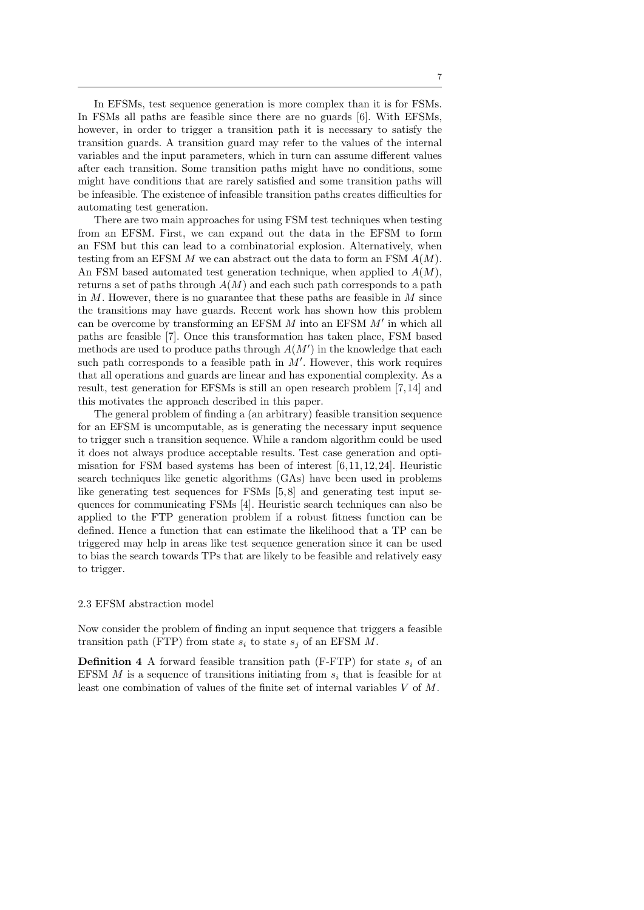In EFSMs, test sequence generation is more complex than it is for FSMs. In FSMs all paths are feasible since there are no guards [6]. With EFSMs, however, in order to trigger a transition path it is necessary to satisfy the transition guards. A transition guard may refer to the values of the internal variables and the input parameters, which in turn can assume different values after each transition. Some transition paths might have no conditions, some might have conditions that are rarely satisfied and some transition paths will be infeasible. The existence of infeasible transition paths creates difficulties for automating test generation.

There are two main approaches for using FSM test techniques when testing from an EFSM. First, we can expand out the data in the EFSM to form an FSM but this can lead to a combinatorial explosion. Alternatively, when testing from an EFSM M we can abstract out the data to form an FSM  $A(M)$ . An FSM based automated test generation technique, when applied to  $A(M)$ , returns a set of paths through  $A(M)$  and each such path corresponds to a path in  $M$ . However, there is no guarantee that these paths are feasible in  $M$  since the transitions may have guards. Recent work has shown how this problem can be overcome by transforming an EFSM  $M$  into an EFSM  $M'$  in which all paths are feasible [7]. Once this transformation has taken place, FSM based methods are used to produce paths through  $A(M')$  in the knowledge that each such path corresponds to a feasible path in  $M'$ . However, this work requires that all operations and guards are linear and has exponential complexity. As a result, test generation for EFSMs is still an open research problem [7, 14] and this motivates the approach described in this paper.

The general problem of finding a (an arbitrary) feasible transition sequence for an EFSM is uncomputable, as is generating the necessary input sequence to trigger such a transition sequence. While a random algorithm could be used it does not always produce acceptable results. Test case generation and optimisation for FSM based systems has been of interest  $[6, 11, 12, 24]$ . Heuristic search techniques like genetic algorithms (GAs) have been used in problems like generating test sequences for FSMs [5, 8] and generating test input sequences for communicating FSMs [4]. Heuristic search techniques can also be applied to the FTP generation problem if a robust fitness function can be defined. Hence a function that can estimate the likelihood that a TP can be triggered may help in areas like test sequence generation since it can be used to bias the search towards TPs that are likely to be feasible and relatively easy to trigger.

#### 2.3 EFSM abstraction model

Now consider the problem of finding an input sequence that triggers a feasible transition path (FTP) from state  $s_i$  to state  $s_j$  of an EFSM M.

**Definition 4** A forward feasible transition path (F-FTP) for state  $s_i$  of an EFSM  $M$  is a sequence of transitions initiating from  $s_i$  that is feasible for at least one combination of values of the finite set of internal variables V of M.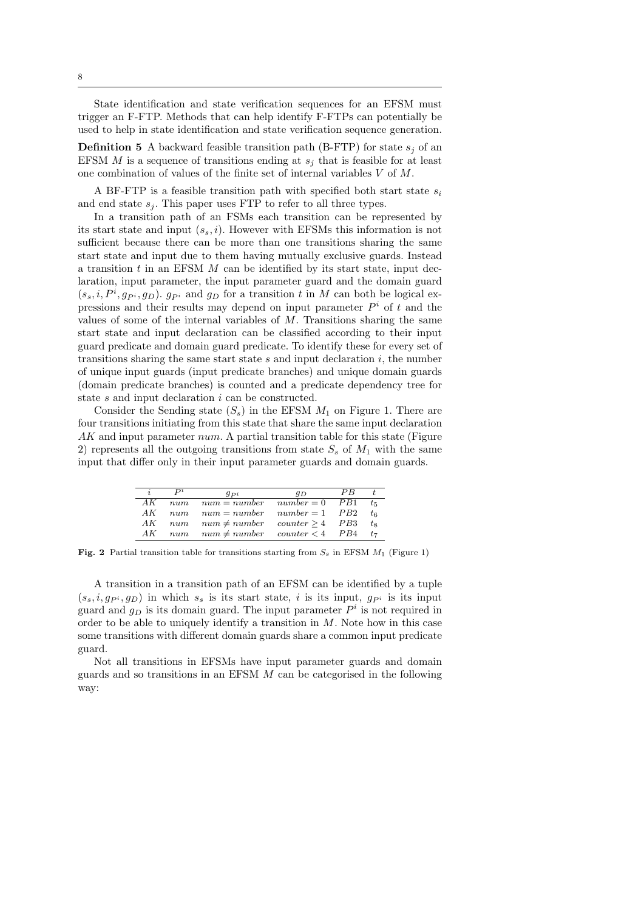State identification and state verification sequences for an EFSM must trigger an F-FTP. Methods that can help identify F-FTPs can potentially be used to help in state identification and state verification sequence generation.

**Definition 5** A backward feasible transition path (B-FTP) for state  $s_i$  of an EFSM  $M$  is a sequence of transitions ending at  $s_i$  that is feasible for at least one combination of values of the finite set of internal variables V of M.

A BF-FTP is a feasible transition path with specified both start state  $s_i$ and end state  $s_j$ . This paper uses FTP to refer to all three types.

In a transition path of an FSMs each transition can be represented by its start state and input  $(s_s, i)$ . However with EFSMs this information is not sufficient because there can be more than one transitions sharing the same start state and input due to them having mutually exclusive guards. Instead a transition  $t$  in an EFSM  $M$  can be identified by its start state, input declaration, input parameter, the input parameter guard and the domain guard  $(s_s, i, P^i, g_{P^i}, g_D)$ .  $g_{P^i}$  and  $g_D$  for a transition t in M can both be logical expressions and their results may depend on input parameter  $P<sup>i</sup>$  of t and the values of some of the internal variables of  $M$ . Transitions sharing the same start state and input declaration can be classified according to their input guard predicate and domain guard predicate. To identify these for every set of transitions sharing the same start state  $s$  and input declaration  $i$ , the number of unique input guards (input predicate branches) and unique domain guards (domain predicate branches) is counted and a predicate dependency tree for state s and input declaration i can be constructed.

Consider the Sending state  $(S_s)$  in the EFSM  $M_1$  on Figure 1. There are four transitions initiating from this state that share the same input declaration AK and input parameter num. A partial transition table for this state (Figure 2) represents all the outgoing transitions from state  $S<sub>s</sub>$  of  $M<sub>1</sub>$  with the same input that differ only in their input parameter guards and domain guards.

| $\mathbf{a}$ | P <sup>i</sup> | $g_{pi}$                                         | $g_D$              | PR |                   |
|--------------|----------------|--------------------------------------------------|--------------------|----|-------------------|
| AK           | num            | $num = number$                                   | $number = 0$ PB1   |    | $t_{5}$           |
| AK           | num            | $num = number$                                   | $number = 1$ $PB2$ |    | $t_{6}$           |
| AK           | num            | $num \neq number \quad counter \geq 4 \quad PB3$ |                    |    | $t_{8}$           |
| AK           | num            | $num \neq number \quad counter < 4 \quad PB4$    |                    |    | $t_{\mathcal{F}}$ |

Fig. 2 Partial transition table for transitions starting from  $S_8$  in EFSM  $M_1$  (Figure 1)

A transition in a transition path of an EFSM can be identified by a tuple  $(s_s, i, q_{P_i}, q_D)$  in which  $s_s$  is its start state, i is its input,  $q_{P_i}$  is its input guard and  $g_D$  is its domain guard. The input parameter  $P<sup>i</sup>$  is not required in order to be able to uniquely identify a transition in  $M$ . Note how in this case some transitions with different domain guards share a common input predicate guard.

Not all transitions in EFSMs have input parameter guards and domain guards and so transitions in an EFSM  $M$  can be categorised in the following way: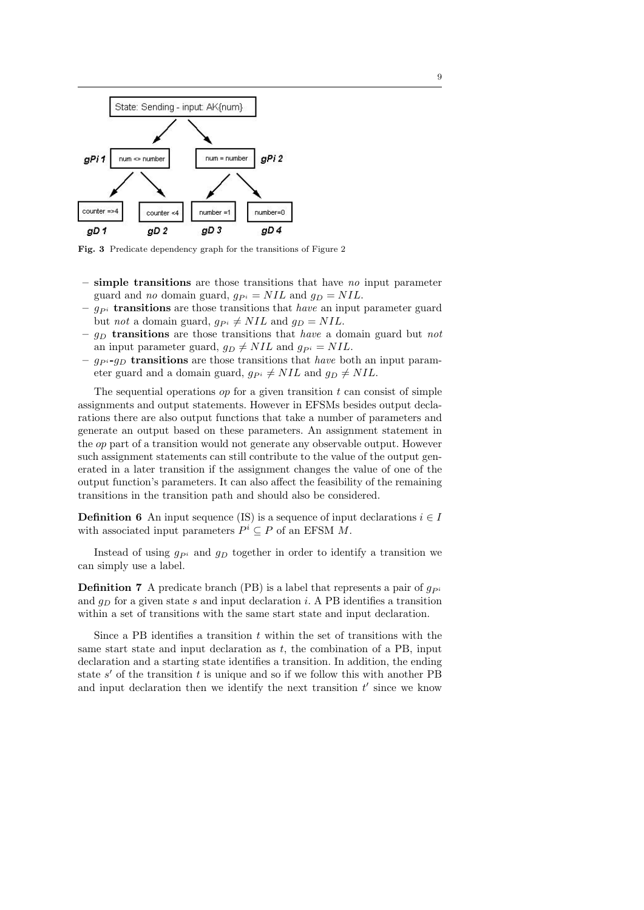

Fig. 3 Predicate dependency graph for the transitions of Figure 2

- $-$  simple transitions are those transitions that have no input parameter guard and no domain guard,  $g_{P^i} = NIL$  and  $g_D = NIL$ .
- $q_{P^i}$  transitions are those transitions that have an input parameter guard but *not* a domain guard,  $g_{P^i} \neq NIL$  and  $g_D = NIL$ .
- $g_D$  transitions are those transitions that have a domain guard but not an input parameter guard,  $g_D \neq NIL$  and  $g_{P_i} = NIL$ .
- $g_{P_i}$  transitions are those transitions that *have* both an input parameter guard and a domain guard,  $q_{P_i} \neq NIL$  and  $q_D \neq NIL$ .

The sequential operations  $op$  for a given transition  $t$  can consist of simple assignments and output statements. However in EFSMs besides output declarations there are also output functions that take a number of parameters and generate an output based on these parameters. An assignment statement in the op part of a transition would not generate any observable output. However such assignment statements can still contribute to the value of the output generated in a later transition if the assignment changes the value of one of the output function's parameters. It can also affect the feasibility of the remaining transitions in the transition path and should also be considered.

**Definition 6** An input sequence (IS) is a sequence of input declarations  $i \in I$ with associated input parameters  $P^i \subseteq P$  of an EFSM M.

Instead of using  $g_{P^i}$  and  $g_D$  together in order to identify a transition we can simply use a label.

**Definition 7** A predicate branch (PB) is a label that represents a pair of  $q_{pi}$ and  $g_D$  for a given state s and input declaration i. A PB identifies a transition within a set of transitions with the same start state and input declaration.

Since a PB identifies a transition  $t$  within the set of transitions with the same start state and input declaration as  $t$ , the combination of a PB, input declaration and a starting state identifies a transition. In addition, the ending state  $s'$  of the transition  $t$  is unique and so if we follow this with another PB and input declaration then we identify the next transition  $t'$  since we know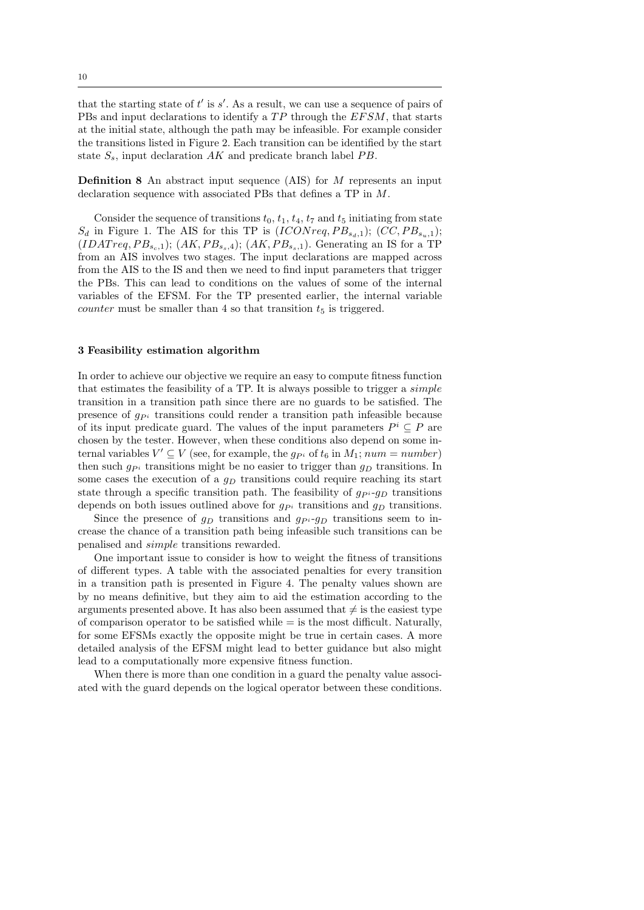that the starting state of  $t'$  is  $s'$ . As a result, we can use a sequence of pairs of PBs and input declarations to identify a  $TP$  through the  $EFSM$ , that starts at the initial state, although the path may be infeasible. For example consider the transitions listed in Figure 2. Each transition can be identified by the start state  $S_s$ , input declaration AK and predicate branch label  $PB$ .

Definition 8 An abstract input sequence (AIS) for M represents an input declaration sequence with associated PBs that defines a TP in M.

Consider the sequence of transitions  $t_0$ ,  $t_1$ ,  $t_4$ ,  $t_7$  and  $t_5$  initiating from state  $S_d$  in Figure 1. The AIS for this TP is  $(ICONreq, PB_{s_d,1}); (CC, PB_{s_u,1});$  $(IDATreq, PB_{s_c,1}); (AK, PB_{s_s,4}); (AK, PB_{s_s,1}).$  Generating an IS for a TP from an AIS involves two stages. The input declarations are mapped across from the AIS to the IS and then we need to find input parameters that trigger the PBs. This can lead to conditions on the values of some of the internal variables of the EFSM. For the TP presented earlier, the internal variable *counter* must be smaller than 4 so that transition  $t_5$  is triggered.

# 3 Feasibility estimation algorithm

In order to achieve our objective we require an easy to compute fitness function that estimates the feasibility of a TP. It is always possible to trigger a simple transition in a transition path since there are no guards to be satisfied. The presence of  $g_{P^i}$  transitions could render a transition path infeasible because of its input predicate guard. The values of the input parameters  $P^i \subseteq P$  are chosen by the tester. However, when these conditions also depend on some internal variables  $V' \subseteq V$  (see, for example, the  $g_{P_i}$  of  $t_6$  in  $M_1$ ;  $num = number$ ) then such  $g_{P^i}$  transitions might be no easier to trigger than  $g_D$  transitions. In some cases the execution of a  $q_D$  transitions could require reaching its start state through a specific transition path. The feasibility of  $q_{P^{i}}$ - $q_{D}$  transitions depends on both issues outlined above for  $g_{P_i}$  transitions and  $g_D$  transitions.

Since the presence of  $q_D$  transitions and  $q_{P^i}$ - $q_D$  transitions seem to increase the chance of a transition path being infeasible such transitions can be penalised and simple transitions rewarded.

One important issue to consider is how to weight the fitness of transitions of different types. A table with the associated penalties for every transition in a transition path is presented in Figure 4. The penalty values shown are by no means definitive, but they aim to aid the estimation according to the arguments presented above. It has also been assumed that  $\neq$  is the easiest type of comparison operator to be satisfied while  $=$  is the most difficult. Naturally, for some EFSMs exactly the opposite might be true in certain cases. A more detailed analysis of the EFSM might lead to better guidance but also might lead to a computationally more expensive fitness function.

When there is more than one condition in a guard the penalty value associated with the guard depends on the logical operator between these conditions.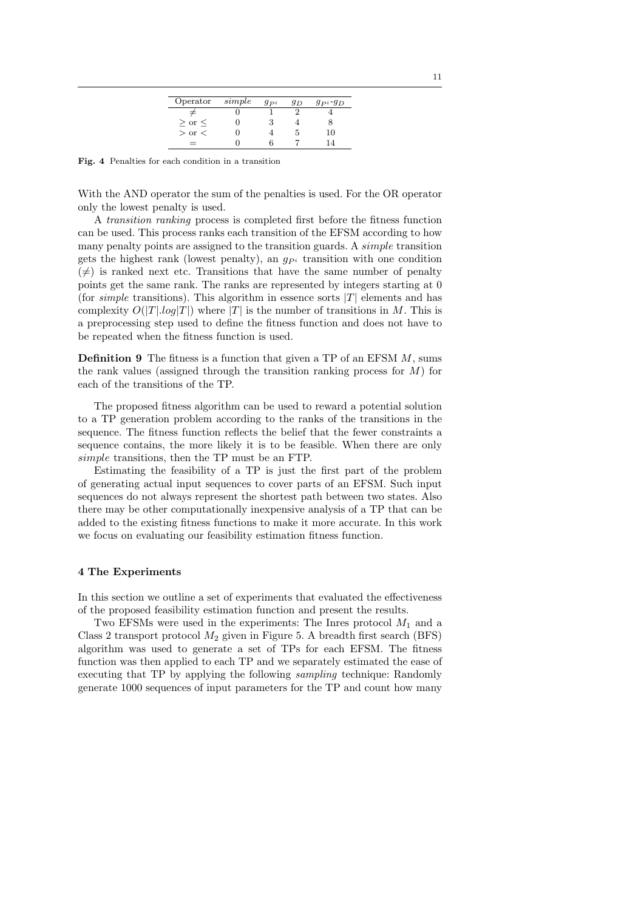| Operator         | simple | $g_{pi}$ | $q_D$ | $g_{P_i}g_D$ |
|------------------|--------|----------|-------|--------------|
|                  |        |          |       |              |
| $\geq$ or $\leq$ |        |          |       |              |
| $>$ or $<$       |        |          |       | 10           |
| $=$              |        |          |       |              |

Fig. 4 Penalties for each condition in a transition

With the AND operator the sum of the penalties is used. For the OR operator only the lowest penalty is used.

A transition ranking process is completed first before the fitness function can be used. This process ranks each transition of the EFSM according to how many penalty points are assigned to the transition guards. A simple transition gets the highest rank (lowest penalty), an  $g_{P^i}$  transition with one condition  $(\neq)$  is ranked next etc. Transitions that have the same number of penalty points get the same rank. The ranks are represented by integers starting at 0 (for *simple* transitions). This algorithm in essence sorts  $|T|$  elements and has complexity  $O(|T|.log|T|)$  where  $|T|$  is the number of transitions in M. This is a preprocessing step used to define the fitness function and does not have to be repeated when the fitness function is used.

**Definition 9** The fitness is a function that given a TP of an EFSM  $M$ , sums the rank values (assigned through the transition ranking process for  $M$ ) for each of the transitions of the TP.

The proposed fitness algorithm can be used to reward a potential solution to a TP generation problem according to the ranks of the transitions in the sequence. The fitness function reflects the belief that the fewer constraints a sequence contains, the more likely it is to be feasible. When there are only simple transitions, then the TP must be an FTP.

Estimating the feasibility of a TP is just the first part of the problem of generating actual input sequences to cover parts of an EFSM. Such input sequences do not always represent the shortest path between two states. Also there may be other computationally inexpensive analysis of a TP that can be added to the existing fitness functions to make it more accurate. In this work we focus on evaluating our feasibility estimation fitness function.

### 4 The Experiments

In this section we outline a set of experiments that evaluated the effectiveness of the proposed feasibility estimation function and present the results.

Two EFSMs were used in the experiments: The Inres protocol  $M_1$  and a Class 2 transport protocol  $M_2$  given in Figure 5. A breadth first search (BFS) algorithm was used to generate a set of TPs for each EFSM. The fitness function was then applied to each TP and we separately estimated the ease of executing that TP by applying the following sampling technique: Randomly generate 1000 sequences of input parameters for the TP and count how many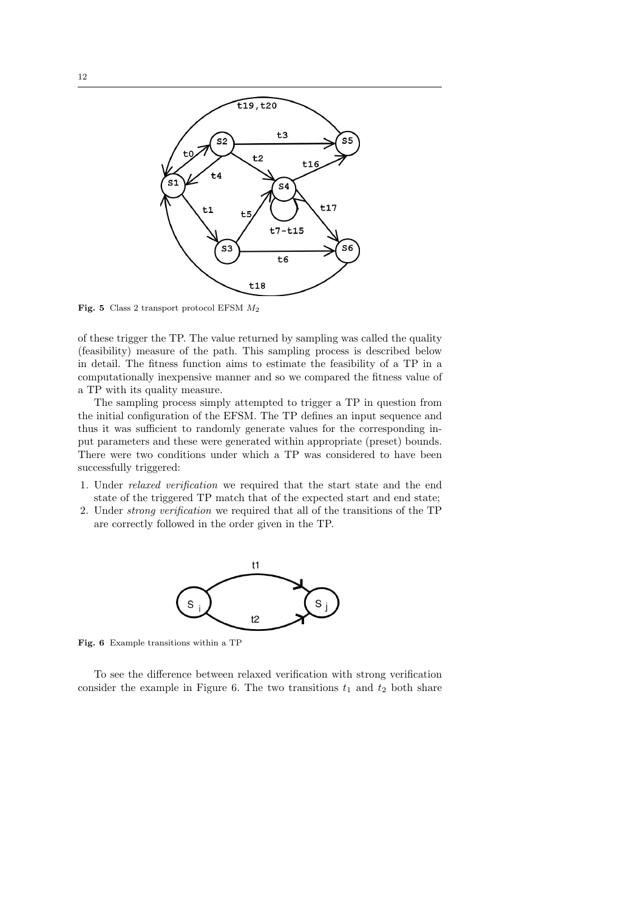

Fig. 5 Class 2 transport protocol EFSM  $\mathcal{M}_2$ 

of these trigger the TP. The value returned by sampling was called the quality (feasibility) measure of the path. This sampling process is described below in detail. The fitness function aims to estimate the feasibility of a TP in a computationally inexpensive manner and so we compared the fitness value of a TP with its quality measure.

The sampling process simply attempted to trigger a TP in question from the initial configuration of the EFSM. The TP defines an input sequence and thus it was sufficient to randomly generate values for the corresponding input parameters and these were generated within appropriate (preset) bounds. There were two conditions under which a TP was considered to have been successfully triggered:

- 1. Under relaxed verification we required that the start state and the end state of the triggered TP match that of the expected start and end state;
- 2. Under strong verification we required that all of the transitions of the TP are correctly followed in the order given in the TP.



Fig. 6 Example transitions within a TP

To see the difference between relaxed verification with strong verification consider the example in Figure 6. The two transitions  $t_1$  and  $t_2$  both share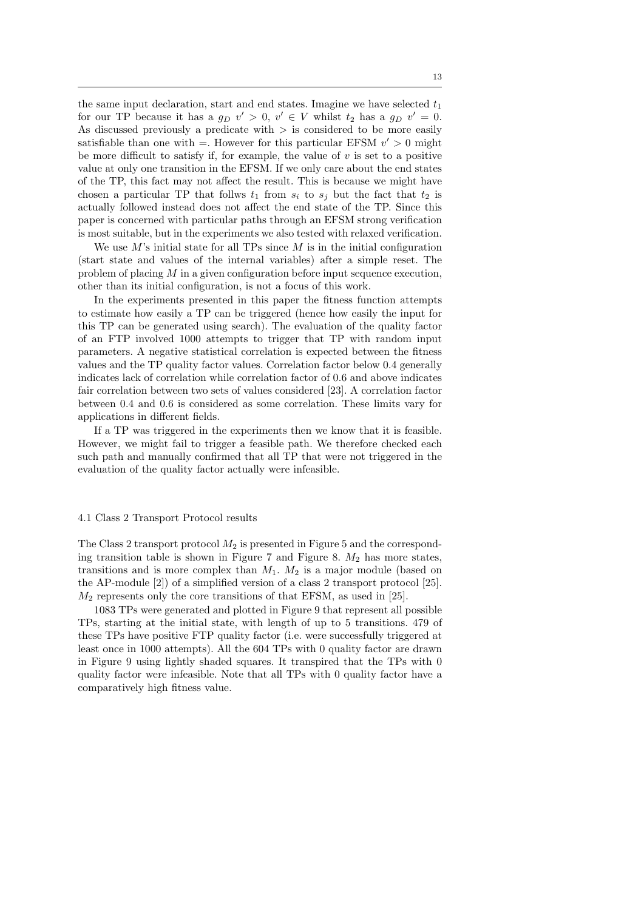the same input declaration, start and end states. Imagine we have selected  $t_1$ for our TP because it has a  $g_D v' > 0$ ,  $v' \in V$  whilst  $t_2$  has a  $g_D v' = 0$ . As discussed previously a predicate with  $>$  is considered to be more easily satisfiable than one with  $=$ . However for this particular EFSM  $v' > 0$  might be more difficult to satisfy if, for example, the value of  $v$  is set to a positive value at only one transition in the EFSM. If we only care about the end states of the TP, this fact may not affect the result. This is because we might have chosen a particular TP that follws  $t_1$  from  $s_i$  to  $s_j$  but the fact that  $t_2$  is actually followed instead does not affect the end state of the TP. Since this paper is concerned with particular paths through an EFSM strong verification is most suitable, but in the experiments we also tested with relaxed verification.

We use  $M$ 's initial state for all TPs since  $M$  is in the initial configuration (start state and values of the internal variables) after a simple reset. The problem of placing  $M$  in a given configuration before input sequence execution, other than its initial configuration, is not a focus of this work.

In the experiments presented in this paper the fitness function attempts to estimate how easily a TP can be triggered (hence how easily the input for this TP can be generated using search). The evaluation of the quality factor of an FTP involved 1000 attempts to trigger that TP with random input parameters. A negative statistical correlation is expected between the fitness values and the TP quality factor values. Correlation factor below 0.4 generally indicates lack of correlation while correlation factor of 0.6 and above indicates fair correlation between two sets of values considered [23]. A correlation factor between 0.4 and 0.6 is considered as some correlation. These limits vary for applications in different fields.

If a TP was triggered in the experiments then we know that it is feasible. However, we might fail to trigger a feasible path. We therefore checked each such path and manually confirmed that all TP that were not triggered in the evaluation of the quality factor actually were infeasible.

#### 4.1 Class 2 Transport Protocol results

The Class 2 transport protocol  $M_2$  is presented in Figure 5 and the corresponding transition table is shown in Figure 7 and Figure 8.  $M_2$  has more states, transitions and is more complex than  $M_1$ .  $M_2$  is a major module (based on the AP-module [2]) of a simplified version of a class 2 transport protocol [25].  $M_2$  represents only the core transitions of that EFSM, as used in [25].

1083 TPs were generated and plotted in Figure 9 that represent all possible TPs, starting at the initial state, with length of up to 5 transitions. 479 of these TPs have positive FTP quality factor (i.e. were successfully triggered at least once in 1000 attempts). All the 604 TPs with 0 quality factor are drawn in Figure 9 using lightly shaded squares. It transpired that the TPs with 0 quality factor were infeasible. Note that all TPs with 0 quality factor have a comparatively high fitness value.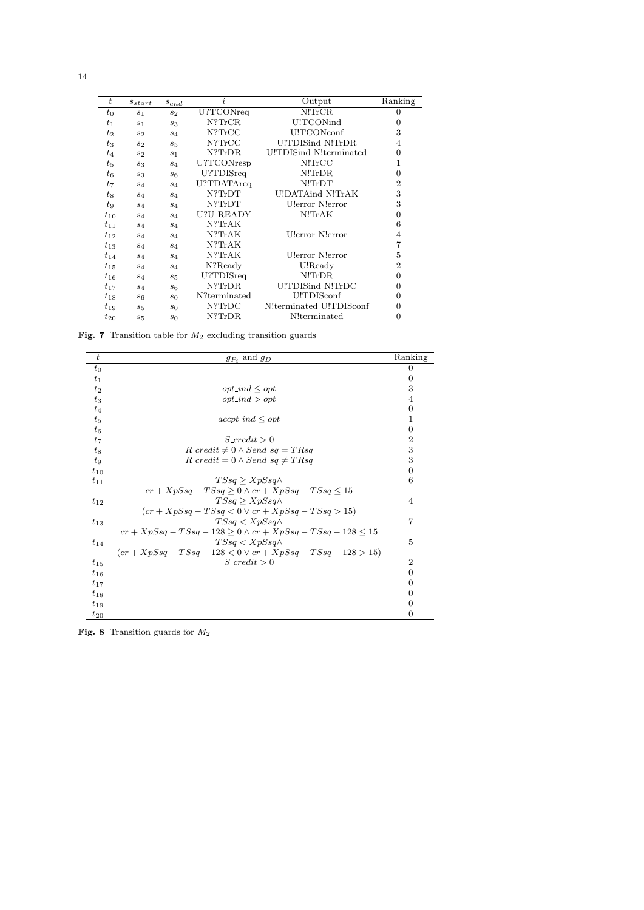| $t_{i}$  | $s_{start}$    | $s_{end}$      | i            | Output                  | Ranking        |
|----------|----------------|----------------|--------------|-------------------------|----------------|
| $t_0$    | S <sub>1</sub> | S <sub>2</sub> | U?TCONreq    | $N!$ Tr $CR$            | $\Omega$       |
| $t_1$    | $s_1$          | $s_3$          | N?TrCR       | U!TCONind               | $\Omega$       |
| $t_2$    | S <sub>2</sub> | $s_4$          | N?TrCC       | U!TCONconf              | 3              |
| $t_3$    | $s_2$          | $s_{5}$        | N?TrCC       | U!TDISind N!TrDR        | 4              |
| $t_4$    | $s_2$          | $s_1$          | N?TrDR       | U!TDISind N!terminated  | $\Omega$       |
| $t_5$    | $s_3$          | $s_4$          | U?TCONresp   | N!TrCC                  | 1              |
| $t_6$    | $s_3$          | $s_6$          | U?TDISreq    | N!TrDR                  | $\Omega$       |
| $t_7$    | $s_4$          | $s_4$          | U?TDATAreq   | N!TrDT                  | $\overline{2}$ |
| $t_8$    | $s_4$          | $s_4$          | N?TrDT       | <b>U!DATAind N!TrAK</b> | 3              |
| $t_{9}$  | $S_4$          | $s_4$          | N?TrDT       | Ulerror Nlerror         | 3              |
| $t_{10}$ | $s_4$          | $s_4$          | U?U_READY    | $N!$ Tr $AK$            | $\Omega$       |
| $t_{11}$ | $s_4$          | $s_4$          | N?TrAK       |                         | 6              |
| $t_{12}$ | $S_4$          | $s_4$          | N?TrAK       | U!error N!error         | $\overline{4}$ |
| $t_{13}$ | $s_4$          | $s_4$          | $N?$ Tr $AK$ |                         | 7              |
| $t_{14}$ | $s_4$          | $s_4$          | N?TrAK       | U!error N!error         | 5              |
| $t_{15}$ | $s_4$          | $s_4$          | N?Ready      | U!Ready                 | $\overline{2}$ |
| $t_{16}$ | $s_4$          | $s_5$          | U?TDISreq    | $N!$ Tr $DR$            | $\Omega$       |
| $t_{17}$ | $s_4$          | $s_6$          | N?TrDR       | U!TDISind N!TrDC        | $\Omega$       |
| $t_{18}$ | $s_6$          | $s_0$          | N?terminated | U!TDISconf              | 0              |
| $t_{19}$ | $s_{5}$        | s <sub>0</sub> | N?TrDC       | N!terminated U!TDISconf | $\Omega$       |
| $t_{20}$ | $s_5$          | $s_0$          | N?TrDR       | N!terminated            | 0              |

Fig. 7 Transition table for  $M_2$  excluding transition guards

| $t_{0}$  |                                                                   | Ranking        |
|----------|-------------------------------------------------------------------|----------------|
|          |                                                                   | $\Omega$       |
| $t_1$    |                                                                   | 0              |
| $t_2$    | $opt\_ind \le opt$                                                | 3              |
| $t_3$    | $\omega$ <sub>ind</sub> $>$ $\omega$ <sup>t</sup>                 | 4              |
| $t_4$    |                                                                   | $\Omega$       |
| $t_{5}$  | $accept\_ind \le opt$                                             | $\mathbf{1}$   |
| $t_6$    |                                                                   | 0              |
| $t_7$    | $S\; credit > 0$                                                  | $\overline{2}$ |
| $t_8$    | $R\_credit \neq 0 \land Send\_sq = TRsq$                          | 3              |
| $t_{9}$  | $R\_credit = 0 \land Send\_sq \neq TRsq$                          | 3              |
| $t_{10}$ |                                                                   | 0              |
| $t_{11}$ | $TSsa > XpSsa \wedge$                                             | 6              |
|          | $cr + XpSsq - TSsq \geq 0 \wedge cr + XpSsq - TSsq \leq 15$       |                |
| $t_{12}$ | $TSsq > XpSsq \wedge$                                             | 4              |
|          | $(cr+XpSsq-TSsq<0 \vee cr+XpSsq-TSsq>15)$                         |                |
| $t_{13}$ | $TSsq < XpSsq \wedge$                                             | $\overline{7}$ |
|          | $cr + XpSsq - TSsq - 128 > 0 \wedge cr + XpSsq - TSsq - 128 < 15$ |                |
| $t_{14}$ | $TSsq < XpSsq \wedge$                                             | 5              |
|          | $(cr + XpSsq - TSsq - 128 < 0 \vee cr + XpSsq - TSsq - 128 > 15)$ |                |
| $t_{15}$ | $S\; credit > 0$                                                  | $\overline{2}$ |
| $t_{16}$ |                                                                   | 0              |
| $t_{17}$ |                                                                   | $\Omega$       |
| $t_{18}$ |                                                                   | 0              |
| $t_{19}$ |                                                                   | 0              |
| $t_{20}$ |                                                                   | $\overline{0}$ |

**Fig. 8** Transition guards for  $M_2$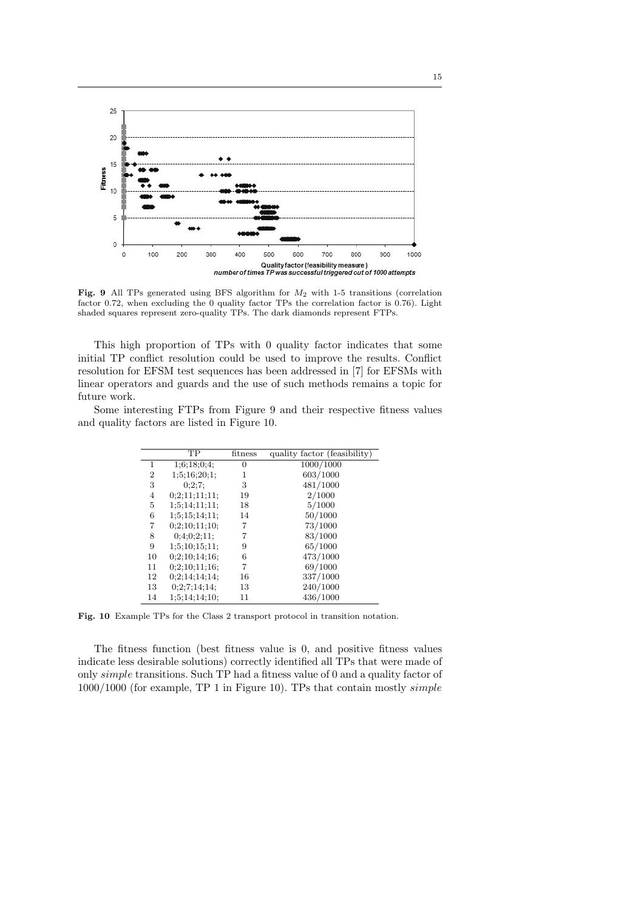

Fig. 9 All TPs generated using BFS algorithm for  $M_2$  with 1-5 transitions (correlation factor 0.72, when excluding the 0 quality factor TPs the correlation factor is 0.76). Light shaded squares represent zero-quality TPs. The dark diamonds represent FTPs.

This high proportion of TPs with 0 quality factor indicates that some initial TP conflict resolution could be used to improve the results. Conflict resolution for EFSM test sequences has been addressed in [7] for EFSMs with linear operators and guards and the use of such methods remains a topic for future work.

Some interesting FTPs from Figure 9 and their respective fitness values and quality factors are listed in Figure 10.

|    | TP             | fitness  | quality factor (feasibility) |
|----|----------------|----------|------------------------------|
| 1  | 1:6:18:0:4     | $\Omega$ | 1000/1000                    |
| 2  | 1:5:16:20:1    | 1        | 603/1000                     |
| 3  | 0:2:7:         | 3        | 481/1000                     |
| 4  | 0;2;11;11;11;  | 19       | 2/1000                       |
| 5  | 1:5:14:11:11:  | 18       | 5/1000                       |
| 6  | 1;5;15;14;11;  | 14       | 50/1000                      |
| 7  | 0:2:10:11:10:  | 7        | 73/1000                      |
| 8  | $0.4:0:2:11$ ; | 7        | 83/1000                      |
| 9  | 1:5;10;15;11;  | 9        | 65/1000                      |
| 10 | 0:2:10:14:16   | 6        | 473/1000                     |
| 11 | 0;2;10;11;16;  | 7        | 69/1000                      |
| 12 | 0:2:14:14:14   | 16       | 337/1000                     |
| 13 | 0;2;7;14;14;   | 13       | 240/1000                     |
| 14 | 1:5:14:14:10:  | 11       | 436/1000                     |

Fig. 10 Example TPs for the Class 2 transport protocol in transition notation.

The fitness function (best fitness value is 0, and positive fitness values indicate less desirable solutions) correctly identified all TPs that were made of only simple transitions. Such TP had a fitness value of 0 and a quality factor of 1000/1000 (for example, TP 1 in Figure 10). TPs that contain mostly simple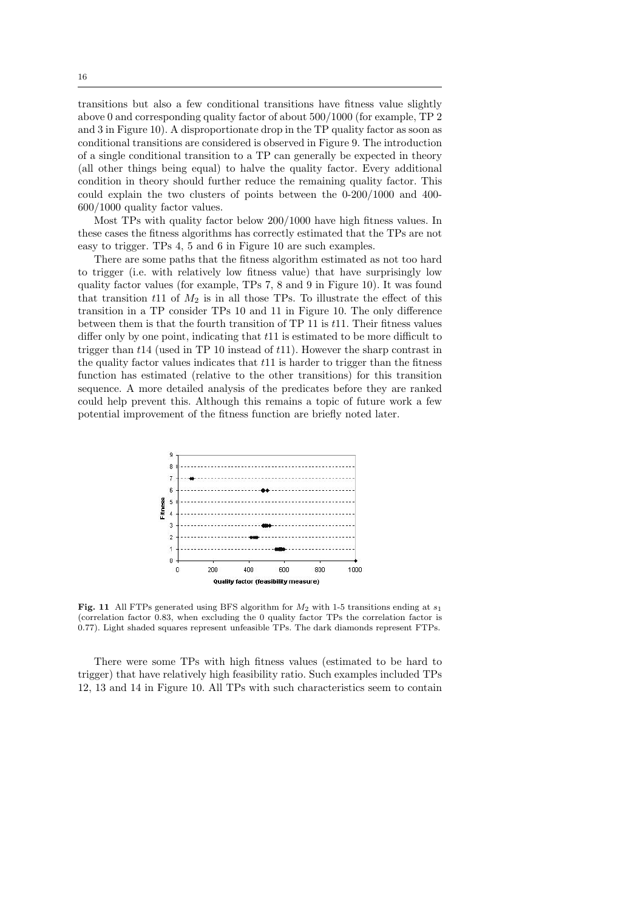transitions but also a few conditional transitions have fitness value slightly above 0 and corresponding quality factor of about 500/1000 (for example, TP 2 and 3 in Figure 10). A disproportionate drop in the TP quality factor as soon as conditional transitions are considered is observed in Figure 9. The introduction of a single conditional transition to a TP can generally be expected in theory (all other things being equal) to halve the quality factor. Every additional condition in theory should further reduce the remaining quality factor. This could explain the two clusters of points between the 0-200/1000 and 400- 600/1000 quality factor values.

Most TPs with quality factor below 200/1000 have high fitness values. In these cases the fitness algorithms has correctly estimated that the TPs are not easy to trigger. TPs 4, 5 and 6 in Figure 10 are such examples.

There are some paths that the fitness algorithm estimated as not too hard to trigger (i.e. with relatively low fitness value) that have surprisingly low quality factor values (for example, TPs 7, 8 and 9 in Figure 10). It was found that transition t11 of  $M_2$  is in all those TPs. To illustrate the effect of this transition in a TP consider TPs 10 and 11 in Figure 10. The only difference between them is that the fourth transition of TP 11 is t11. Their fitness values differ only by one point, indicating that t11 is estimated to be more difficult to trigger than t14 (used in TP 10 instead of t11). However the sharp contrast in the quality factor values indicates that  $t11$  is harder to trigger than the fitness function has estimated (relative to the other transitions) for this transition sequence. A more detailed analysis of the predicates before they are ranked could help prevent this. Although this remains a topic of future work a few potential improvement of the fitness function are briefly noted later.



Fig. 11 All FTPs generated using BFS algorithm for  $M_2$  with 1-5 transitions ending at  $s_1$ (correlation factor 0.83, when excluding the 0 quality factor TPs the correlation factor is 0.77). Light shaded squares represent unfeasible TPs. The dark diamonds represent FTPs.

There were some TPs with high fitness values (estimated to be hard to trigger) that have relatively high feasibility ratio. Such examples included TPs 12, 13 and 14 in Figure 10. All TPs with such characteristics seem to contain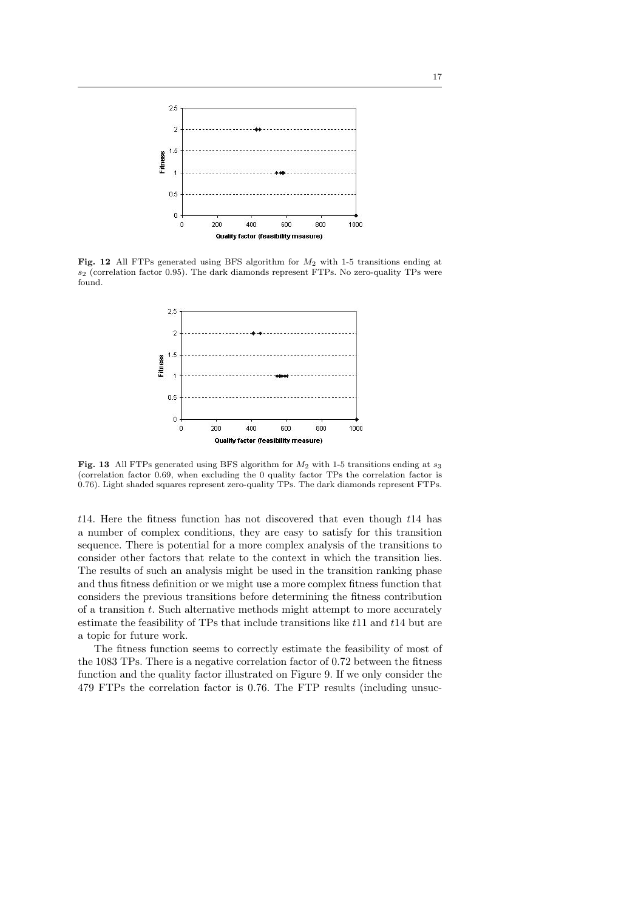

Fig. 12 All FTPs generated using BFS algorithm for M<sup>2</sup> with 1-5 transitions ending at  $s_2$  (correlation factor 0.95). The dark diamonds represent FTPs. No zero-quality TPs were found.



Fig. 13 All FTPs generated using BFS algorithm for  $M_2$  with 1-5 transitions ending at  $s_3$ (correlation factor 0.69, when excluding the 0 quality factor TPs the correlation factor is 0.76). Light shaded squares represent zero-quality TPs. The dark diamonds represent FTPs.

 $t14$ . Here the fitness function has not discovered that even though  $t14$  has a number of complex conditions, they are easy to satisfy for this transition sequence. There is potential for a more complex analysis of the transitions to consider other factors that relate to the context in which the transition lies. The results of such an analysis might be used in the transition ranking phase and thus fitness definition or we might use a more complex fitness function that considers the previous transitions before determining the fitness contribution of a transition t. Such alternative methods might attempt to more accurately estimate the feasibility of TPs that include transitions like t11 and t14 but are a topic for future work.

The fitness function seems to correctly estimate the feasibility of most of the 1083 TPs. There is a negative correlation factor of 0.72 between the fitness function and the quality factor illustrated on Figure 9. If we only consider the 479 FTPs the correlation factor is 0.76. The FTP results (including unsuc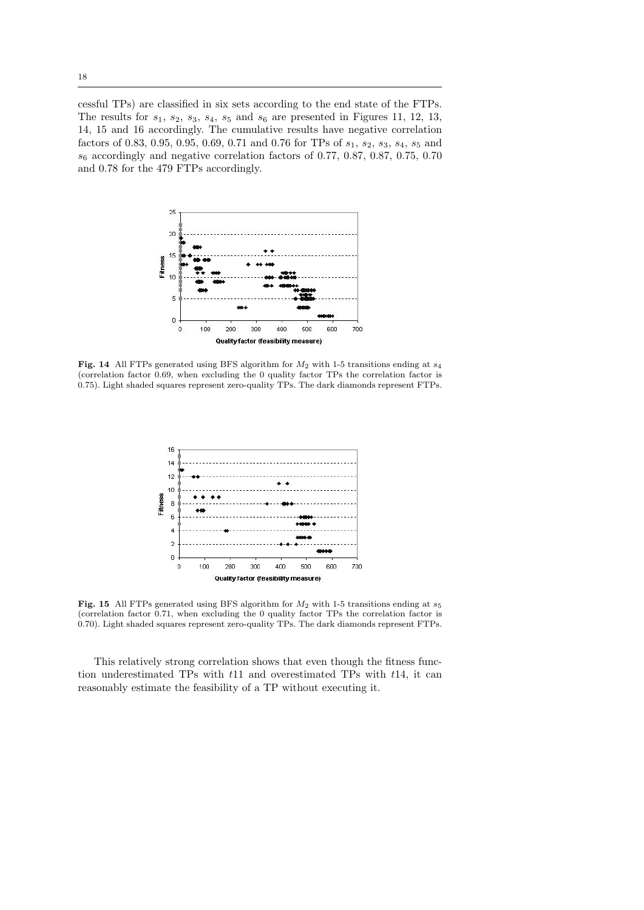cessful TPs) are classified in six sets according to the end state of the FTPs. The results for  $s_1$ ,  $s_2$ ,  $s_3$ ,  $s_4$ ,  $s_5$  and  $s_6$  are presented in Figures 11, 12, 13, 14, 15 and 16 accordingly. The cumulative results have negative correlation factors of 0.83, 0.95, 0.95, 0.69, 0.71 and 0.76 for TPs of  $s_1$ ,  $s_2$ ,  $s_3$ ,  $s_4$ ,  $s_5$  and  $s<sub>6</sub>$  accordingly and negative correlation factors of 0.77, 0.87, 0.87, 0.75, 0.70 and 0.78 for the 479 FTPs accordingly.



Fig. 14 All FTPs generated using BFS algorithm for  $M_2$  with 1-5 transitions ending at  $s_4$ (correlation factor 0.69, when excluding the 0 quality factor TPs the correlation factor is 0.75). Light shaded squares represent zero-quality TPs. The dark diamonds represent FTPs.



Fig. 15 All FTPs generated using BFS algorithm for  $M_2$  with 1-5 transitions ending at  $s_5$ (correlation factor 0.71, when excluding the 0 quality factor TPs the correlation factor is 0.70). Light shaded squares represent zero-quality TPs. The dark diamonds represent FTPs.

This relatively strong correlation shows that even though the fitness function underestimated TPs with t11 and overestimated TPs with t14, it can reasonably estimate the feasibility of a TP without executing it.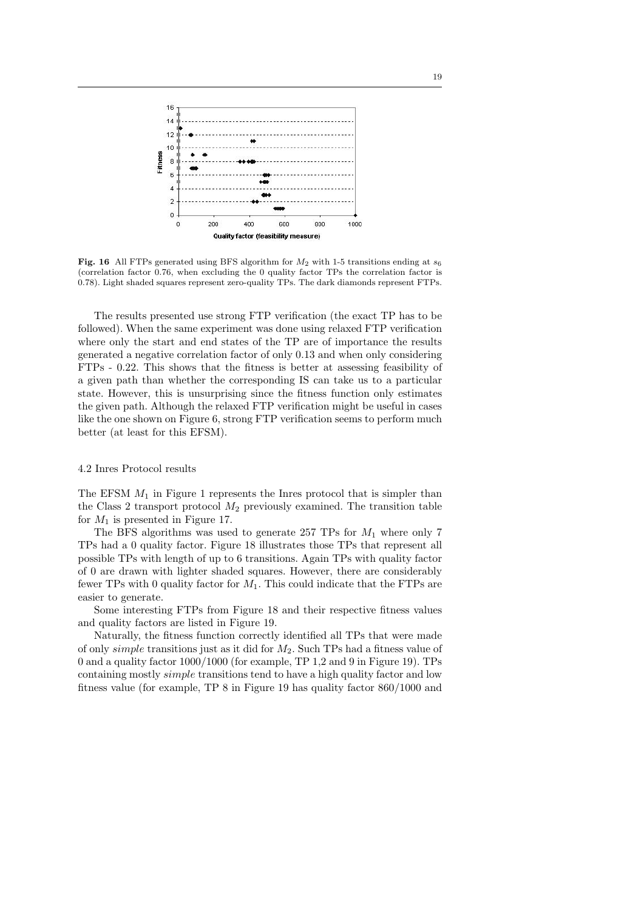

**Fig. 16** All FTPs generated using BFS algorithm for  $M_2$  with 1-5 transitions ending at  $s_6$ (correlation factor 0.76, when excluding the 0 quality factor TPs the correlation factor is 0.78). Light shaded squares represent zero-quality TPs. The dark diamonds represent FTPs.

The results presented use strong FTP verification (the exact TP has to be followed). When the same experiment was done using relaxed FTP verification where only the start and end states of the TP are of importance the results generated a negative correlation factor of only 0.13 and when only considering FTPs - 0.22. This shows that the fitness is better at assessing feasibility of a given path than whether the corresponding IS can take us to a particular state. However, this is unsurprising since the fitness function only estimates the given path. Although the relaxed FTP verification might be useful in cases like the one shown on Figure 6, strong FTP verification seems to perform much better (at least for this EFSM).

#### 4.2 Inres Protocol results

The EFSM  $M_1$  in Figure 1 represents the Inres protocol that is simpler than the Class 2 transport protocol  $M_2$  previously examined. The transition table for  $M_1$  is presented in Figure 17.

The BFS algorithms was used to generate 257 TPs for  $M_1$  where only 7 TPs had a 0 quality factor. Figure 18 illustrates those TPs that represent all possible TPs with length of up to 6 transitions. Again TPs with quality factor of 0 are drawn with lighter shaded squares. However, there are considerably fewer TPs with 0 quality factor for  $M_1$ . This could indicate that the FTPs are easier to generate.

Some interesting FTPs from Figure 18 and their respective fitness values and quality factors are listed in Figure 19.

Naturally, the fitness function correctly identified all TPs that were made of only *simple* transitions just as it did for  $M_2$ . Such TPs had a fitness value of 0 and a quality factor 1000/1000 (for example, TP 1,2 and 9 in Figure 19). TPs containing mostly simple transitions tend to have a high quality factor and low fitness value (for example, TP 8 in Figure 19 has quality factor 860/1000 and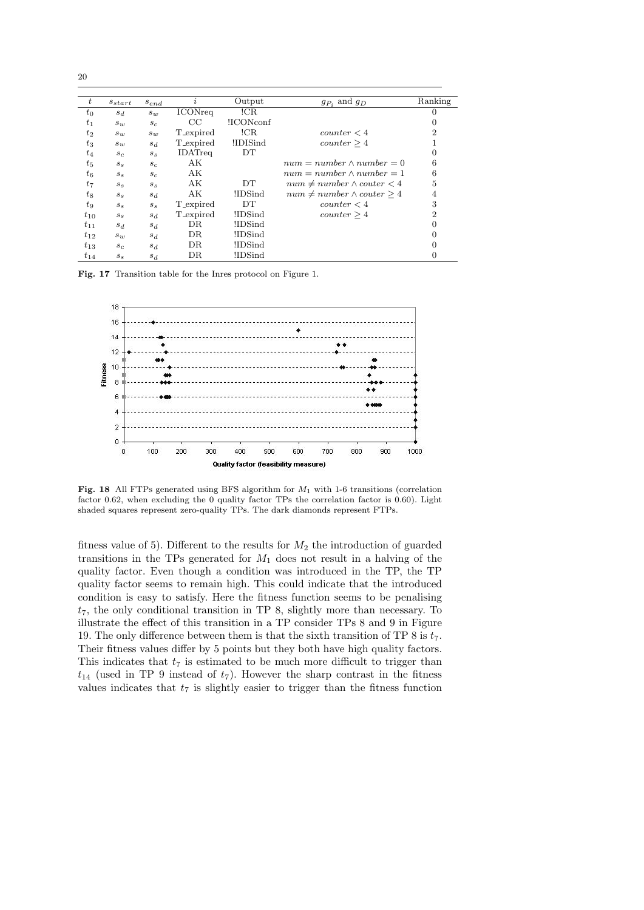| t        |             |           | $\boldsymbol{\eta}$ | Output    | $g_{P_i}$ and $g_D$                 | Ranking        |
|----------|-------------|-----------|---------------------|-----------|-------------------------------------|----------------|
|          | $s_{start}$ | $s_{end}$ |                     |           |                                     |                |
| $t_0$    | $S_d$       | $s_w$     | <b>ICONreg</b>      | !CR       |                                     | 0              |
| $t_{1}$  | $s_w$       | $s_c$     | $_{\rm CC}$         | !ICONconf |                                     | 0              |
| $t_2$    | $s_w$       | $s_w$     | T_expired           | ICR       | counter < 4                         | $\overline{2}$ |
| $t_3$    | $s_w$       | $s_d$     | T_expired           | !IDISind  | counter > 4                         |                |
| $t_4$    | $s_c$       | $s_{s}$   | <b>IDATreq</b>      | DT        |                                     | 0              |
| $t_{5}$  | $s_{s}$     | $s_c$     | АK                  |           | $num = number \wedge number = 0$    | 6              |
| $t_6$    | $s_{s}$     | $s_c$     | АK                  |           | $num = number \land number = 1$     | 6              |
| $t_7$    | $s_{s}$     | $s_{s}$   | AK                  | DT        | $num \neq number \land counter < 4$ | 5              |
| $t_8$    | $s_{s}$     | $S_d$     | АK                  | !IDSind   | $num \neq number \land counter > 4$ | 4              |
| $t_{9}$  | $s_{s}$     | $S_{S}$   | <b>T</b> _expired   | DT        | counter < 4                         | 3              |
| $t_{10}$ | $s_{s}$     | $s_d$     | T_expired           | !IDSind   | counter > 4                         | $\overline{2}$ |
| $t_{11}$ | $s_d$       | $s_d$     | DR                  | !IDSind   |                                     | 0              |
| $t_{12}$ | $s_w$       | $S_d$     | DR                  | !IDSind   |                                     | 0              |
| $t_{13}$ | $s_c$       | $s_d$     | DR                  | !IDSind   |                                     | 0              |
| $t_{14}$ | $s_{s}$     | $s_d$     | DR                  | !IDSind   |                                     | $\Omega$       |

Fig. 17 Transition table for the Inres protocol on Figure 1.



Fig. 18 All FTPs generated using BFS algorithm for  $M_1$  with 1-6 transitions (correlation factor 0.62, when excluding the 0 quality factor TPs the correlation factor is 0.60). Light shaded squares represent zero-quality TPs. The dark diamonds represent FTPs.

fitness value of 5). Different to the results for  $M_2$  the introduction of guarded transitions in the TPs generated for  $M_1$  does not result in a halving of the quality factor. Even though a condition was introduced in the TP, the TP quality factor seems to remain high. This could indicate that the introduced condition is easy to satisfy. Here the fitness function seems to be penalising  $t_7$ , the only conditional transition in TP 8, slightly more than necessary. To illustrate the effect of this transition in a TP consider TPs 8 and 9 in Figure 19. The only difference between them is that the sixth transition of TP 8 is  $t_7$ . Their fitness values differ by 5 points but they both have high quality factors. This indicates that  $t_7$  is estimated to be much more difficult to trigger than  $t_{14}$  (used in TP 9 instead of  $t_7$ ). However the sharp contrast in the fitness values indicates that  $t_7$  is slightly easier to trigger than the fitness function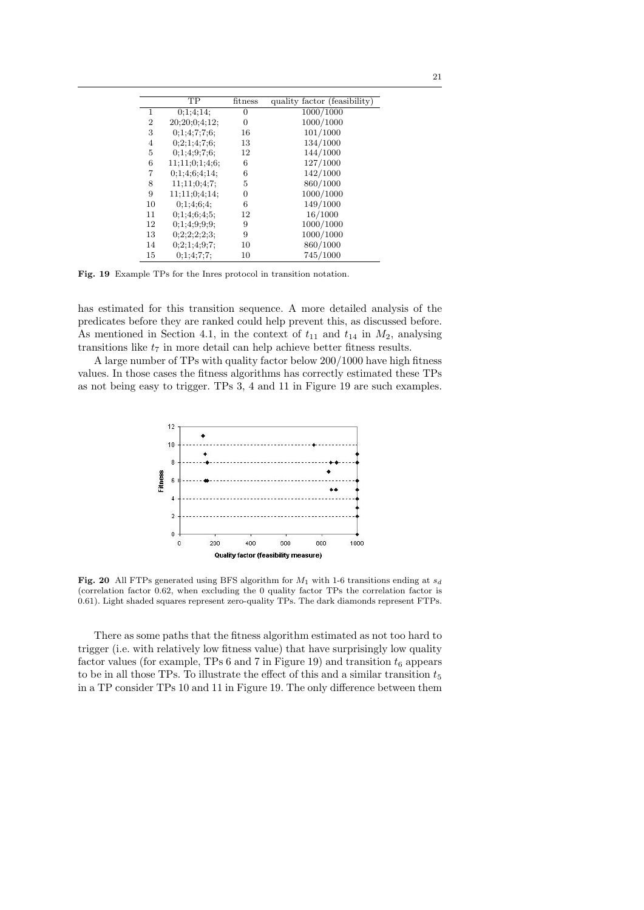|                | TP                | fitness | quality factor (feasibility) |
|----------------|-------------------|---------|------------------------------|
| $\mathbf 1$    | 0:1:4:14          | 0       | 1000/1000                    |
| $\overline{2}$ | 20:20:0:4:12      | 0       | 1000/1000                    |
| 3              | 0:1:4:7:7:6       | 16      | 101/1000                     |
| 4              | 0;2;1;4;7;6;      | 13      | 134/1000                     |
| 5              | 0:1:4:9:7:6       | 12      | 144/1000                     |
| 6              | 11:11:0:1:4:6     | 6       | 127/1000                     |
| 7              | $0:1:4:6:4:14$ ;  | 6       | 142/1000                     |
| 8              | 11:11:0.4:7       | 5       | 860/1000                     |
| 9              | 11; 11; 0; 4; 14; | 0       | 1000/1000                    |
| 10             | 0:1:4:6:4         | 6       | 149/1000                     |
| 11             | 0:1:4:6:4:5       | 12      | 16/1000                      |
| 12             | 0;1;4;9;9;9;      | 9       | 1000/1000                    |
| 13             | 0;2;2;2;2;3;      | 9       | 1000/1000                    |
| 14             | 0;2;1;4;9;7;      | 10      | 860/1000                     |
| 15             | 0:1:4:7:7         | 10      | 745/1000                     |

Fig. 19 Example TPs for the Inres protocol in transition notation.

has estimated for this transition sequence. A more detailed analysis of the predicates before they are ranked could help prevent this, as discussed before. As mentioned in Section 4.1, in the context of  $t_{11}$  and  $t_{14}$  in  $M_2$ , analysing transitions like  $t_7$  in more detail can help achieve better fitness results.

A large number of TPs with quality factor below 200/1000 have high fitness values. In those cases the fitness algorithms has correctly estimated these TPs as not being easy to trigger. TPs 3, 4 and 11 in Figure 19 are such examples.



Fig. 20 All FTPs generated using BFS algorithm for  $M_1$  with 1-6 transitions ending at  $s_d$ (correlation factor 0.62, when excluding the 0 quality factor TPs the correlation factor is 0.61). Light shaded squares represent zero-quality TPs. The dark diamonds represent FTPs.

There as some paths that the fitness algorithm estimated as not too hard to trigger (i.e. with relatively low fitness value) that have surprisingly low quality factor values (for example, TPs 6 and 7 in Figure 19) and transition  $t_6$  appears to be in all those TPs. To illustrate the effect of this and a similar transition  $t_5$ in a TP consider TPs 10 and 11 in Figure 19. The only difference between them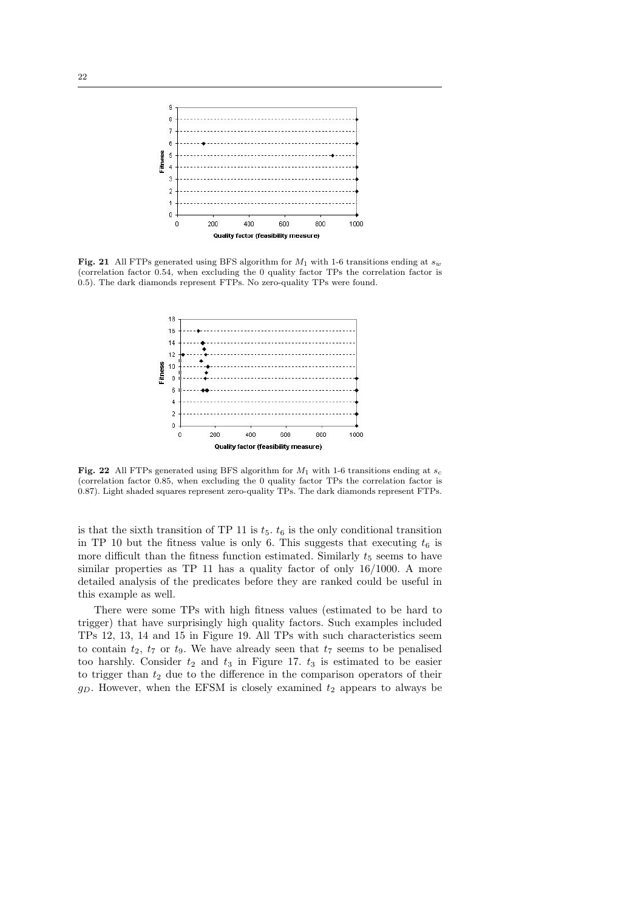

Fig. 21 All FTPs generated using BFS algorithm for  $M_1$  with 1-6 transitions ending at  $s_w$ (correlation factor 0.54, when excluding the 0 quality factor TPs the correlation factor is 0.5). The dark diamonds represent FTPs. No zero-quality TPs were found.



Fig. 22 All FTPs generated using BFS algorithm for  $M_1$  with 1-6 transitions ending at  $s_c$ (correlation factor 0.85, when excluding the 0 quality factor TPs the correlation factor is 0.87). Light shaded squares represent zero-quality TPs. The dark diamonds represent FTPs.

is that the sixth transition of TP 11 is  $t_5$ ,  $t_6$  is the only conditional transition in TP 10 but the fitness value is only 6. This suggests that executing  $t_6$  is more difficult than the fitness function estimated. Similarly  $t_5$  seems to have similar properties as TP 11 has a quality factor of only 16/1000. A more detailed analysis of the predicates before they are ranked could be useful in this example as well.

There were some TPs with high fitness values (estimated to be hard to trigger) that have surprisingly high quality factors. Such examples included TPs 12, 13, 14 and 15 in Figure 19. All TPs with such characteristics seem to contain  $t_2$ ,  $t_7$  or  $t_9$ . We have already seen that  $t_7$  seems to be penalised too harshly. Consider  $t_2$  and  $t_3$  in Figure 17.  $t_3$  is estimated to be easier to trigger than  $t_2$  due to the difference in the comparison operators of their  $g_D$ . However, when the EFSM is closely examined  $t_2$  appears to always be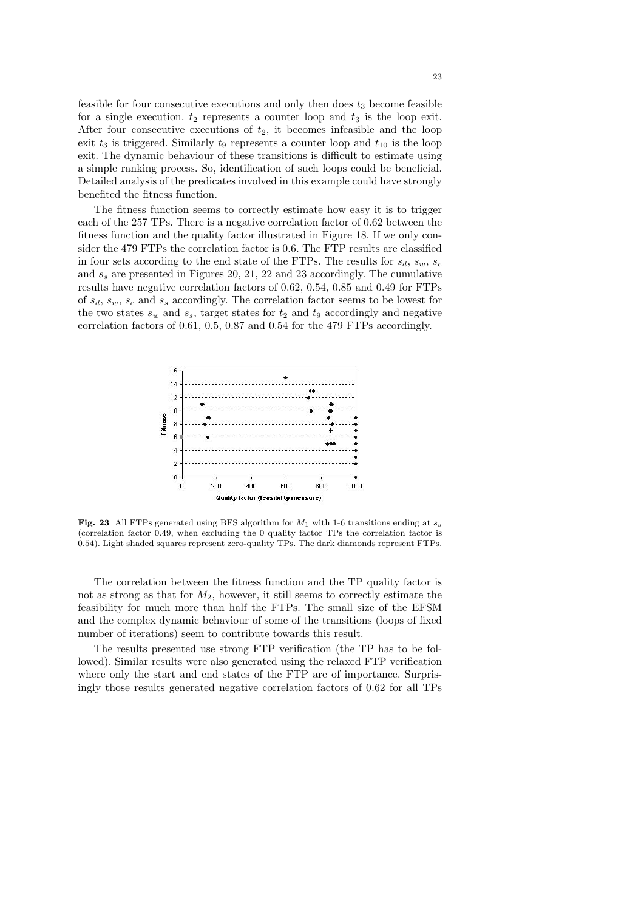feasible for four consecutive executions and only then does  $t_3$  become feasible for a single execution.  $t_2$  represents a counter loop and  $t_3$  is the loop exit. After four consecutive executions of  $t_2$ , it becomes infeasible and the loop exit  $t_3$  is triggered. Similarly  $t_9$  represents a counter loop and  $t_{10}$  is the loop exit. The dynamic behaviour of these transitions is difficult to estimate using a simple ranking process. So, identification of such loops could be beneficial. Detailed analysis of the predicates involved in this example could have strongly benefited the fitness function.

The fitness function seems to correctly estimate how easy it is to trigger each of the 257 TPs. There is a negative correlation factor of 0.62 between the fitness function and the quality factor illustrated in Figure 18. If we only consider the 479 FTPs the correlation factor is 0.6. The FTP results are classified in four sets according to the end state of the FTPs. The results for  $s_d$ ,  $s_w$ ,  $s_c$ and  $s_s$  are presented in Figures 20, 21, 22 and 23 accordingly. The cumulative results have negative correlation factors of 0.62, 0.54, 0.85 and 0.49 for FTPs of  $s_d$ ,  $s_w$ ,  $s_c$  and  $s_s$  accordingly. The correlation factor seems to be lowest for the two states  $s_w$  and  $s_s$ , target states for  $t_2$  and  $t_9$  accordingly and negative correlation factors of 0.61, 0.5, 0.87 and 0.54 for the 479 FTPs accordingly.



Fig. 23 All FTPs generated using BFS algorithm for  $M_1$  with 1-6 transitions ending at  $s_s$ (correlation factor 0.49, when excluding the 0 quality factor TPs the correlation factor is 0.54). Light shaded squares represent zero-quality TPs. The dark diamonds represent FTPs.

The correlation between the fitness function and the TP quality factor is not as strong as that for  $M_2$ , however, it still seems to correctly estimate the feasibility for much more than half the FTPs. The small size of the EFSM and the complex dynamic behaviour of some of the transitions (loops of fixed number of iterations) seem to contribute towards this result.

The results presented use strong FTP verification (the TP has to be followed). Similar results were also generated using the relaxed FTP verification where only the start and end states of the FTP are of importance. Surprisingly those results generated negative correlation factors of 0.62 for all TPs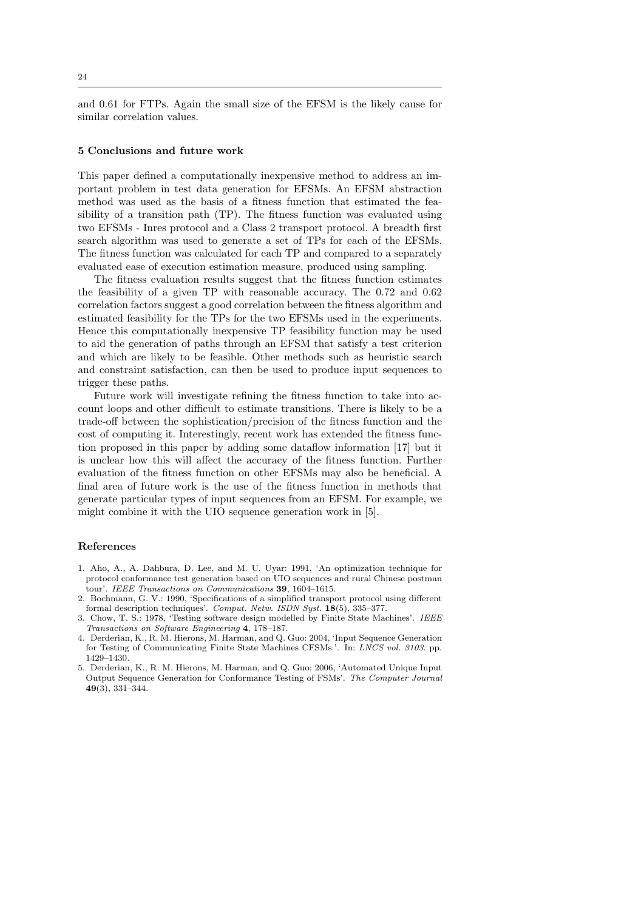and 0.61 for FTPs. Again the small size of the EFSM is the likely cause for similar correlation values.

### 5 Conclusions and future work

This paper defined a computationally inexpensive method to address an important problem in test data generation for EFSMs. An EFSM abstraction method was used as the basis of a fitness function that estimated the feasibility of a transition path (TP). The fitness function was evaluated using two EFSMs - Inres protocol and a Class 2 transport protocol. A breadth first search algorithm was used to generate a set of TPs for each of the EFSMs. The fitness function was calculated for each TP and compared to a separately evaluated ease of execution estimation measure, produced using sampling.

The fitness evaluation results suggest that the fitness function estimates the feasibility of a given TP with reasonable accuracy. The 0.72 and 0.62 correlation factors suggest a good correlation between the fitness algorithm and estimated feasibility for the TPs for the two EFSMs used in the experiments. Hence this computationally inexpensive TP feasibility function may be used to aid the generation of paths through an EFSM that satisfy a test criterion and which are likely to be feasible. Other methods such as heuristic search and constraint satisfaction, can then be used to produce input sequences to trigger these paths.

Future work will investigate refining the fitness function to take into account loops and other difficult to estimate transitions. There is likely to be a trade-off between the sophistication/precision of the fitness function and the cost of computing it. Interestingly, recent work has extended the fitness function proposed in this paper by adding some dataflow information [17] but it is unclear how this will affect the accuracy of the fitness function. Further evaluation of the fitness function on other EFSMs may also be beneficial. A final area of future work is the use of the fitness function in methods that generate particular types of input sequences from an EFSM. For example, we might combine it with the UIO sequence generation work in [5].

#### References

- 1. Aho, A., A. Dahbura, D. Lee, and M. U. Uyar: 1991, 'An optimization technique for protocol conformance test generation based on UIO sequences and rural Chinese postman tour'. IEEE Transactions on Communications 39, 1604–1615.
- 2. Bochmann, G. V.: 1990, 'Specifications of a simplified transport protocol using different formal description techniques'. Comput. Netw. ISDN Syst. 18(5), 335–377.
- 3. Chow, T. S.: 1978, 'Testing software design modelled by Finite State Machines'. IEEE Transactions on Software Engineering 4, 178–187.
- 4. Derderian, K., R. M. Hierons, M. Harman, and Q. Guo: 2004, 'Input Sequence Generation for Testing of Communicating Finite State Machines CFSMs.'. In: LNCS vol. 3103. pp. 1429–1430.
- 5. Derderian, K., R. M. Hierons, M. Harman, and Q. Guo: 2006, 'Automated Unique Input Output Sequence Generation for Conformance Testing of FSMs'. The Computer Journal 49(3), 331–344.